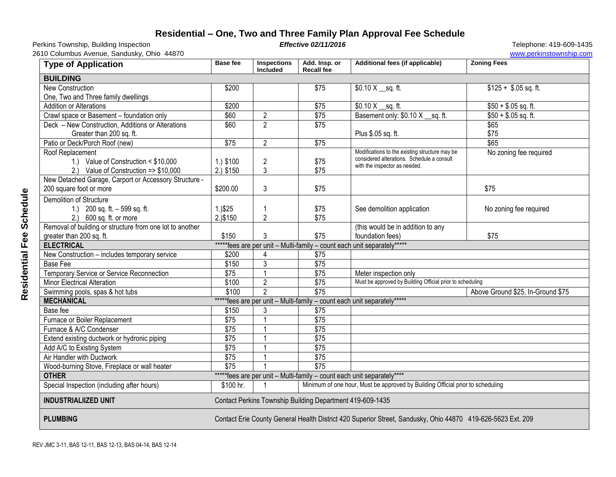## **Residential – One, Two and Three Family Plan Approval Fee Schedule**

Perkins Township, Building Inspection **Effective 02/11/2016 Effective 02/11/2016** Telephone: 419-609-1435

2610 Columbus Avenue, Sandusky, Ohio 44870 www.perkinstownship.com

| <b>Type of Application</b>                                                                    | <b>Base fee</b>                                                                                             | <b>Inspections</b><br><b>Included</b> | Add. Insp. or<br><b>Recall fee</b> | Additional fees (if applicable)                                                                                               | <b>Zoning Fees</b>                |
|-----------------------------------------------------------------------------------------------|-------------------------------------------------------------------------------------------------------------|---------------------------------------|------------------------------------|-------------------------------------------------------------------------------------------------------------------------------|-----------------------------------|
| <b>BUILDING</b>                                                                               |                                                                                                             |                                       |                                    |                                                                                                                               |                                   |
| New Construction                                                                              | \$200                                                                                                       |                                       | \$75                               | \$0.10 $X$ _sq. ft.                                                                                                           | $$125 + $.05$ sq. ft.             |
| One, Two and Three family dwellings                                                           |                                                                                                             |                                       |                                    |                                                                                                                               |                                   |
| <b>Addition or Alterations</b>                                                                | \$200                                                                                                       |                                       | \$75                               | $$0.10 X$ sq. ft.                                                                                                             | $$50 + $.05$ sq. ft.              |
| Crawl space or Basement - foundation only                                                     | \$60                                                                                                        | $\overline{2}$                        | $\sqrt{$75}$                       | Basement only: \$0.10 X sq. ft.                                                                                               | $$50 + $.05$ sq. ft.              |
| Deck - New Construction, Additions or Alterations<br>Greater than 200 sq. ft.                 | \$60                                                                                                        | $\overline{2}$                        | \$75                               | Plus \$.05 sq. ft.                                                                                                            | \$65<br>\$75                      |
| Patio or Deck/Porch Roof (new)                                                                | $\overline{$75}$                                                                                            | $\overline{2}$                        | $\sqrt{$75}$                       |                                                                                                                               | \$65                              |
| Roof Replacement<br>1.) Value of Construction < \$10,000<br>Value of Construction => \$10,000 | 1.) \$100<br>2.) \$150                                                                                      | $\overline{c}$<br>$\mathfrak{Z}$      | \$75<br>\$75                       | Modifications to the existing structure may be<br>considered alterations. Schedule a consult<br>with the inspector as needed. | No zoning fee required            |
| New Detached Garage, Carport or Accessory Structure -<br>200 square foot or more              | \$200.00                                                                                                    | $\mathfrak{Z}$                        | \$75                               |                                                                                                                               | \$75                              |
| <b>Demolition of Structure</b><br>1.) 200 sq. ft. $-599$ sq. ft.<br>2.) 600 sq. ft. or more   | 1.9525<br>2.)\$150                                                                                          | $\overline{2}$                        | \$75<br>\$75                       | See demolition application                                                                                                    | No zoning fee required            |
| Removal of building or structure from one lot to another                                      |                                                                                                             |                                       |                                    | (this would be in addition to any                                                                                             |                                   |
| greater than 200 sq. ft.                                                                      | \$150                                                                                                       | $\mathfrak{Z}$                        | \$75                               | foundation fees)                                                                                                              | \$75                              |
| *****fees are per unit - Multi-family - count each unit separately*****<br><b>ELECTRICAL</b>  |                                                                                                             |                                       |                                    |                                                                                                                               |                                   |
| New Construction - includes temporary service                                                 | \$200                                                                                                       | $\overline{4}$                        | \$75                               |                                                                                                                               |                                   |
| <b>Base Fee</b>                                                                               | \$150                                                                                                       | $\overline{3}$                        | $\overline{$75}$                   |                                                                                                                               |                                   |
| Temporary Service or Service Reconnection                                                     | \$75                                                                                                        | $\mathbf{1}$                          | \$75                               | Meter inspection only                                                                                                         |                                   |
| Minor Electrical Alteration                                                                   | \$100                                                                                                       | $\overline{2}$                        | $\overline{$75}$                   | Must be approved by Building Official prior to scheduling                                                                     |                                   |
| Swimming pools, spas & hot tubs                                                               | \$100                                                                                                       | $\overline{2}$                        | \$75                               |                                                                                                                               | Above Ground \$25, In-Ground \$75 |
| *****fees are per unit - Multi-family - count each unit separately*****<br><b>MECHANICAL</b>  |                                                                                                             |                                       |                                    |                                                                                                                               |                                   |
| Base fee                                                                                      | \$150                                                                                                       | 3                                     | \$75                               |                                                                                                                               |                                   |
| Furnace or Boiler Replacement                                                                 | \$75                                                                                                        | $\mathbf{1}$                          | $\overline{$75}$                   |                                                                                                                               |                                   |
| Furnace & A/C Condenser                                                                       | \$75                                                                                                        | $\overline{1}$                        | \$75                               |                                                                                                                               |                                   |
| Extend existing ductwork or hydronic piping                                                   | $\overline{$75}$                                                                                            | $\overline{1}$                        | \$75                               |                                                                                                                               |                                   |
| Add A/C to Existing System                                                                    | $\overline{$75}$                                                                                            | $\mathbf{1}$                          | \$75                               |                                                                                                                               |                                   |
| Air Handler with Ductwork                                                                     | $\overline{$75}$                                                                                            |                                       | \$75                               |                                                                                                                               |                                   |
| Wood-burning Stove, Fireplace or wall heater                                                  | \$75                                                                                                        |                                       | \$75                               |                                                                                                                               |                                   |
| <b>OTHER</b><br>*****fees are per unit - Multi-family - count each unit separately****        |                                                                                                             |                                       |                                    |                                                                                                                               |                                   |
| Special Inspection (including after hours)                                                    | \$100 hr.                                                                                                   |                                       |                                    | Minimum of one hour, Must be approved by Building Official prior to scheduling                                                |                                   |
| <b>INDUSTRIALIIZED UNIT</b>                                                                   | Contact Perkins Township Building Department 419-609-1435                                                   |                                       |                                    |                                                                                                                               |                                   |
| <b>PLUMBING</b>                                                                               | Contact Erie County General Health District 420 Superior Street, Sandusky, Ohio 44870 419-626-5623 Ext. 209 |                                       |                                    |                                                                                                                               |                                   |